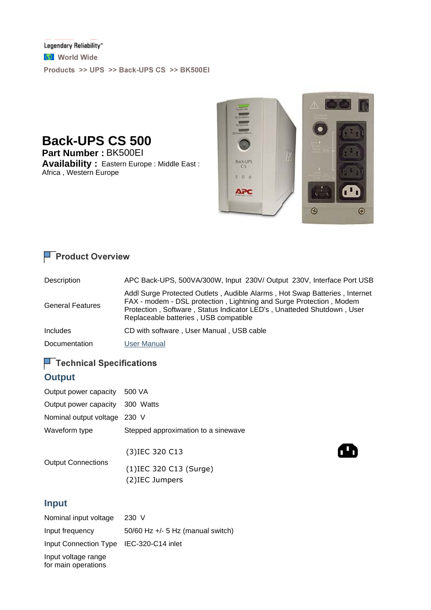Legendary Reliability\*

**G** World Wide

 $Products \gg UPS \gg Back-UPS CS \gg BK500EI$ 

**Back-UPS CS 500**

**Part Number :** BK500EI **Availability :** Eastern Europe : Middle East : Africa , Western Europe



## $\blacksquare$  Product Overview

| Description             | APC Back-UPS, 500VA/300W, Input 230V/ Output 230V, Interface Port USB                                                                                                                                                                                                |
|-------------------------|----------------------------------------------------------------------------------------------------------------------------------------------------------------------------------------------------------------------------------------------------------------------|
| <b>General Features</b> | Addl Surge Protected Outlets, Audible Alarms, Hot Swap Batteries, Internet<br>FAX - modem - DSL protection, Lightning and Surge Protection, Modem<br>Protection, Software, Status Indicator LED's, Unatteded Shutdown, User<br>Replaceable batteries, USB compatible |
| <b>Includes</b>         | CD with software, User Manual, USB cable                                                                                                                                                                                                                             |
| Documentation           | User Manual                                                                                                                                                                                                                                                          |

## $\blacksquare$  Technical Specifications

#### **Output**

| Output power capacity           | 500 VA                              |
|---------------------------------|-------------------------------------|
| Output power capacity 300 Watts |                                     |
| Nominal output voltage 230 V    |                                     |
| Waveform type                   | Stepped approximation to a sinewave |
|                                 | (3) IEC 320 C13                     |
| <b>Output Connections</b>       | (1) IEC 320 C13 (Surge)             |

(2) IEC Jumpers



### **Input**

| Nominal input voltage                      | 230 V                                 |
|--------------------------------------------|---------------------------------------|
| Input frequency                            | $50/60$ Hz $+/-$ 5 Hz (manual switch) |
| Input Connection Type                      | IEC-320-C14 inlet                     |
| Input voltage range<br>for main operations |                                       |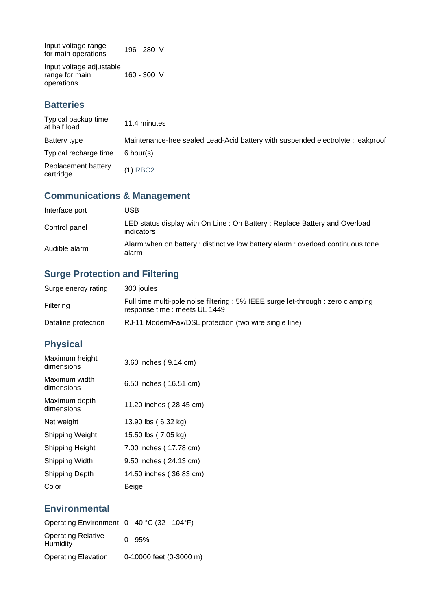Input voltage range for main operations 196 - 280 V

Input voltage adjustable range for main operations 160 - 300 V

### **Batteries**

| Typical backup time<br>at half load | 11.4 minutes                                                                     |
|-------------------------------------|----------------------------------------------------------------------------------|
| Battery type                        | Maintenance-free sealed Lead-Acid battery with suspended electrolyte : leakproof |
| Typical recharge time               | 6 hour(s)                                                                        |
| Replacement battery<br>cartridge    | $(1)$ RBC2                                                                       |

# **Communications & Management**

| Interface port | USB                                                                                     |
|----------------|-----------------------------------------------------------------------------------------|
| Control panel  | LED status display with On Line: On Battery: Replace Battery and Overload<br>indicators |
| Audible alarm  | Alarm when on battery: distinctive low battery alarm: overload continuous tone<br>alarm |

## **Surge Protection and Filtering**

| Surge energy rating | 300 joules                                                                                                        |
|---------------------|-------------------------------------------------------------------------------------------------------------------|
| <b>Filtering</b>    | Full time multi-pole noise filtering : 5% IEEE surge let-through : zero clamping<br>response time : meets UL 1449 |
| Dataline protection | RJ-11 Modem/Fax/DSL protection (two wire single line)                                                             |

## **Physical**

| Maximum height<br>dimensions | 3.60 inches (9.14 cm)   |
|------------------------------|-------------------------|
| Maximum width<br>dimensions  | 6.50 inches (16.51 cm)  |
| Maximum depth<br>dimensions  | 11.20 inches (28.45 cm) |
| Net weight                   | 13.90 lbs (6.32 kg)     |
| Shipping Weight              | 15.50 lbs (7.05 kg)     |
| <b>Shipping Height</b>       | 7.00 inches (17.78 cm)  |
| Shipping Width               | 9.50 inches (24.13 cm)  |
| Shipping Depth               | 14.50 inches (36.83 cm) |
| Color                        | Beige                   |

## **Environmental**

| Operating Environment 0 - 40 °C (32 - 104°F) |                         |
|----------------------------------------------|-------------------------|
| <b>Operating Relative</b><br>Humidity        | $0 - 95%$               |
| <b>Operating Elevation</b>                   | 0-10000 feet (0-3000 m) |